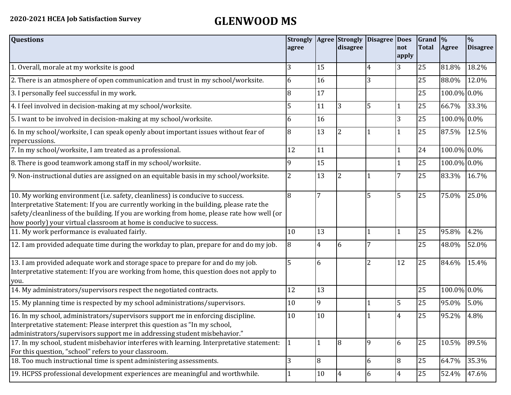| <b>Questions</b>                                                                                                                                                                                                                                                                                                                               | <b>Strongly Agree Strongly</b><br>agree |                | disagree       | <b>Disagree</b> | <b>Does</b><br>not<br>apply | $\vert$ Grand $\vert\%$<br><b>Total</b> | Agree       | $\overline{\frac{0}{0}}$<br><b>Disagree</b> |
|------------------------------------------------------------------------------------------------------------------------------------------------------------------------------------------------------------------------------------------------------------------------------------------------------------------------------------------------|-----------------------------------------|----------------|----------------|-----------------|-----------------------------|-----------------------------------------|-------------|---------------------------------------------|
| 1. Overall, morale at my worksite is good                                                                                                                                                                                                                                                                                                      | 3                                       | 15             |                | 4               | 3                           | 25                                      | 81.8%       | 18.2%                                       |
| 2. There is an atmosphere of open communication and trust in my school/worksite.                                                                                                                                                                                                                                                               | 6                                       | 16             |                | 3               |                             | 25                                      | 88.0%       | 12.0%                                       |
| 3. I personally feel successful in my work.                                                                                                                                                                                                                                                                                                    | 8                                       | 17             |                |                 |                             | 25                                      | 100.0% 0.0% |                                             |
| 4. I feel involved in decision-making at my school/worksite.                                                                                                                                                                                                                                                                                   | 5                                       | 11             | 3              | 5               |                             | 25                                      | 66.7%       | 33.3%                                       |
| 5. I want to be involved in decision-making at my school/worksite.                                                                                                                                                                                                                                                                             | 6                                       | 16             |                |                 | 3                           | 25                                      | 100.0% 0.0% |                                             |
| 6. In my school/worksite, I can speak openly about important issues without fear of<br>repercussions.                                                                                                                                                                                                                                          | 8                                       | 13             | 2              |                 |                             | 25                                      | 87.5%       | 12.5%                                       |
| 7. In my school/worksite, I am treated as a professional.                                                                                                                                                                                                                                                                                      | 12                                      | 11             |                |                 |                             | 24                                      | 100.0% 0.0% |                                             |
| 8. There is good teamwork among staff in my school/worksite.                                                                                                                                                                                                                                                                                   | 9                                       | 15             |                |                 |                             | 25                                      | 100.0% 0.0% |                                             |
| 9. Non-instructional duties are assigned on an equitable basis in my school/worksite.                                                                                                                                                                                                                                                          | 2                                       | 13             | 2              |                 | 7                           | 25                                      | 83.3%       | 16.7%                                       |
| 10. My working environment (i.e. safety, cleanliness) is conducive to success.<br>Interpretative Statement: If you are currently working in the building, please rate the<br>safety/cleanliness of the building. If you are working from home, please rate how well (or<br>how poorly) your virtual classroom at home is conducive to success. | 8                                       | $\overline{7}$ |                | 5               | $\overline{5}$              | 25                                      | 75.0%       | 25.0%                                       |
| 11. My work performance is evaluated fairly.                                                                                                                                                                                                                                                                                                   | 10                                      | 13             |                |                 |                             | 25                                      | 95.8%       | 4.2%                                        |
| 12. I am provided adequate time during the workday to plan, prepare for and do my job.                                                                                                                                                                                                                                                         | 8                                       | $\overline{4}$ | 6              |                 |                             | 25                                      | 48.0%       | 52.0%                                       |
| 13. I am provided adequate work and storage space to prepare for and do my job.<br>Interpretative statement: If you are working from home, this question does not apply to<br>you.                                                                                                                                                             | 5                                       | 6              |                | $\overline{2}$  | 12                          | 25                                      | 84.6%       | 15.4%                                       |
| 14. My administrators/supervisors respect the negotiated contracts.                                                                                                                                                                                                                                                                            | 12                                      | 13             |                |                 |                             | 25                                      | 100.0% 0.0% |                                             |
| 15. My planning time is respected by my school administrations/supervisors.                                                                                                                                                                                                                                                                    | 10                                      | 9              |                |                 | 5                           | 25                                      | 95.0%       | 5.0%                                        |
| 16. In my school, administrators/supervisors support me in enforcing discipline.<br>Interpretative statement: Please interpret this question as "In my school,<br>administrators/supervisors support me in addressing student misbehavior."                                                                                                    | 10                                      | 10             |                |                 | $\overline{4}$              | 25                                      | 95.2%       | 4.8%                                        |
| 17. In my school, student misbehavior interferes with learning. Interpretative statement:<br>For this question, "school" refers to your classroom.                                                                                                                                                                                             | 1                                       |                | $\overline{8}$ | 9               | 6                           | 25                                      | 10.5%       | 89.5%                                       |
| 18. Too much instructional time is spent administering assessments.                                                                                                                                                                                                                                                                            | 3                                       | 8              |                | 6               | 8                           | 25                                      | 64.7%       | 35.3%                                       |
| 19. HCPSS professional development experiences are meaningful and worthwhile.                                                                                                                                                                                                                                                                  |                                         | 10             | 4              | 6               | 4                           | 25                                      | 52.4%       | 47.6%                                       |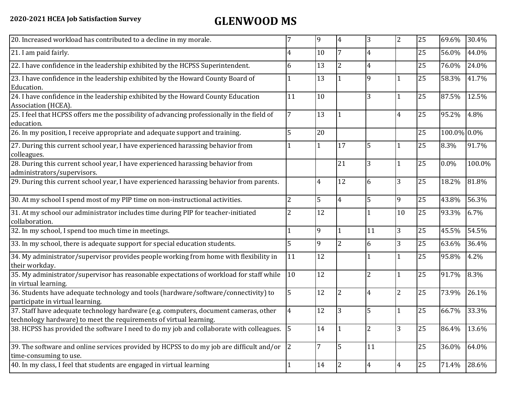| 20. Increased workload has contributed to a decline in my morale.                                                                                          |                | 9  | $\overline{4}$ | 3              | $\overline{2}$ | 25 | 69.6%       | 30.4%  |
|------------------------------------------------------------------------------------------------------------------------------------------------------------|----------------|----|----------------|----------------|----------------|----|-------------|--------|
| 21. I am paid fairly.                                                                                                                                      | 4              | 10 |                | 4              |                | 25 | 56.0%       | 44.0%  |
| 22. I have confidence in the leadership exhibited by the HCPSS Superintendent.                                                                             | 6              | 13 | $\overline{2}$ | $\overline{4}$ |                | 25 | 76.0%       | 24.0%  |
| 23. I have confidence in the leadership exhibited by the Howard County Board of<br>Education.                                                              |                | 13 |                | 9              | $\mathbf{1}$   | 25 | 58.3%       | 41.7%  |
| 24. I have confidence in the leadership exhibited by the Howard County Education<br>Association (HCEA).                                                    | 11             | 10 |                | 3              |                | 25 | 87.5%       | 12.5%  |
| 25. I feel that HCPSS offers me the possibility of advancing professionally in the field of<br>education.                                                  | 7              | 13 |                |                | $\overline{4}$ | 25 | 95.2%       | 4.8%   |
| 26. In my position, I receive appropriate and adequate support and training.                                                                               | 5              | 20 |                |                |                | 25 | 100.0% 0.0% |        |
| 27. During this current school year, I have experienced harassing behavior from<br>colleagues.                                                             |                |    | 17             | 5              | 1              | 25 | 8.3%        | 91.7%  |
| 28. During this current school year, I have experienced harassing behavior from<br>administrators/supervisors.                                             |                |    | 21             | 3              | $\mathbf{1}$   | 25 | $0.0\%$     | 100.0% |
| 29. During this current school year, I have experienced harassing behavior from parents.                                                                   |                | 4  | 12             | 6              | 3              | 25 | 18.2%       | 81.8%  |
| 30. At my school I spend most of my PIP time on non-instructional activities.                                                                              | $\overline{2}$ | 5  | $\overline{4}$ | 5              | 9              | 25 | 43.8%       | 56.3%  |
| 31. At my school our administrator includes time during PIP for teacher-initiated<br>collaboration.                                                        | $\overline{2}$ | 12 |                |                | 10             | 25 | 93.3%       | 6.7%   |
| 32. In my school, I spend too much time in meetings.                                                                                                       |                | 9  |                | 11             | 3              | 25 | 45.5%       | 54.5%  |
| 33. In my school, there is adequate support for special education students.                                                                                | 5              | 9  | $\overline{2}$ | 6              | 3              | 25 | 63.6%       | 36.4%  |
| 34. My administrator/supervisor provides people working from home with flexibility in<br>their workday.                                                    | 11             | 12 |                |                | $\mathbf{1}$   | 25 | 95.8%       | 4.2%   |
| 35. My administrator/supervisor has reasonable expectations of workload for staff while<br>in virtual learning.                                            | 10             | 12 |                | $\overline{2}$ | $\mathbf{1}$   | 25 | 91.7%       | 8.3%   |
| 36. Students have adequate technology and tools (hardware/software/connectivity) to<br>participate in virtual learning.                                    | 5              | 12 | 2              | $\overline{4}$ | 2              | 25 | 73.9%       | 26.1%  |
| 37. Staff have adequate technology hardware (e.g. computers, document cameras, other<br>technology hardware) to meet the requirements of virtual learning. | $\overline{4}$ | 12 | 3              | 5              | $\mathbf{1}$   | 25 | 66.7%       | 33.3%  |
| 38. HCPSS has provided the software I need to do my job and collaborate with colleagues.                                                                   | 5              | 14 |                | $\overline{2}$ | 3              | 25 | 86.4%       | 13.6%  |
| 39. The software and online services provided by HCPSS to do my job are difficult and/or<br>time-consuming to use.                                         | $ 2\rangle$    | 7  | 5              | 11             |                | 25 | 36.0%       | 64.0%  |
| 40. In my class, I feel that students are engaged in virtual learning                                                                                      |                | 14 | 2              | 4              | $\overline{4}$ | 25 | 71.4%       | 28.6%  |